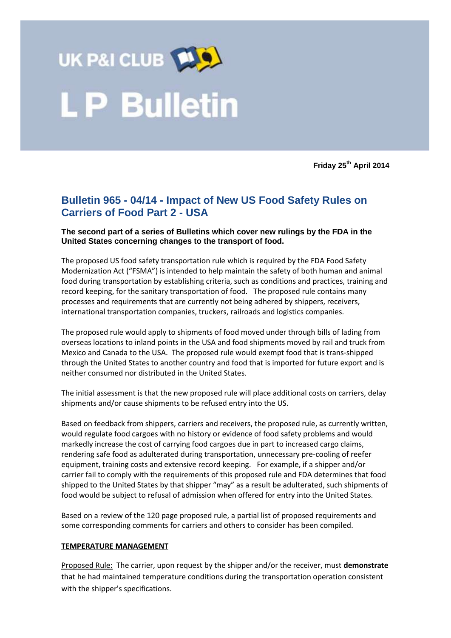

**Friday 25th April 2014**

# **Bulletin 965 - 04/14 - Impact of New US Food Safety Rules on Carriers of Food Part 2 - USA**

#### **The second part of a series of Bulletins which cover new rulings by the FDA in the United States concerning changes to the transport of food.**

The proposed US food safety transportation rule which is required by the FDA Food Safety Modernization Act ("FSMA") is intended to help maintain the safety of both human and animal food during transportation by establishing criteria, such as conditions and practices, training and record keeping, for the sanitary transportation of food. The proposed rule contains many processes and requirements that are currently not being adhered by shippers, receivers, international transportation companies, truckers, railroads and logistics companies.

The proposed rule would apply to shipments of food moved under through bills of lading from overseas locations to inland points in the USA and food shipments moved by rail and truck from Mexico and Canada to the USA. The proposed rule would exempt food that is trans-shipped through the United States to another country and food that is imported for future export and is neither consumed nor distributed in the United States.

The initial assessment is that the new proposed rule will place additional costs on carriers, delay shipments and/or cause shipments to be refused entry into the US.

Based on feedback from shippers, carriers and receivers, the proposed rule, as currently written, would regulate food cargoes with no history or evidence of food safety problems and would markedly increase the cost of carrying food cargoes due in part to increased cargo claims, rendering safe food as adulterated during transportation, unnecessary pre-cooling of reefer equipment, training costs and extensive record keeping. For example, if a shipper and/or carrier fail to comply with the requirements of this proposed rule and FDA determines that food shipped to the United States by that shipper "may" as a result be adulterated, such shipments of food would be subject to refusal of admission when offered for entry into the United States.

Based on a review of the 120 page proposed rule, a partial list of proposed requirements and some corresponding comments for carriers and others to consider has been compiled.

#### **TEMPERATURE MANAGEMENT**

Proposed Rule: The carrier, upon request by the shipper and/or the receiver, must **demonstrate** that he had maintained temperature conditions during the transportation operation consistent with the shipper's specifications.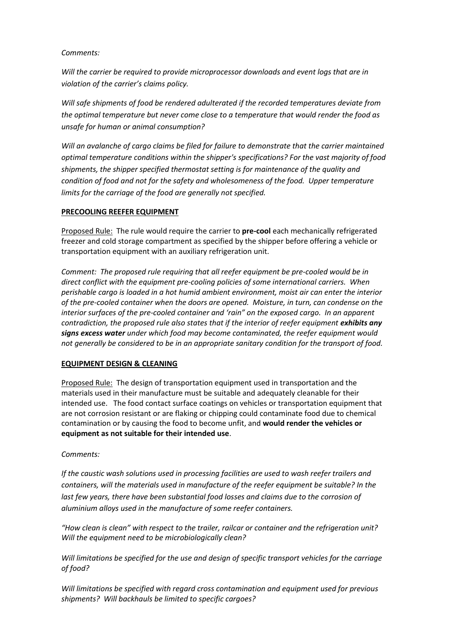### *Comments:*

*Will the carrier be required to provide microprocessor downloads and event logs that are in violation of the carrier's claims policy.* 

*Will safe shipments of food be rendered adulterated if the recorded temperatures deviate from the optimal temperature but never come close to a temperature that would render the food as unsafe for human or animal consumption?* 

*Will an avalanche of cargo claims be filed for failure to demonstrate that the carrier maintained optimal temperature conditions within the shipper's specifications? For the vast majority of food shipments, the shipper specified thermostat setting is for maintenance of the quality and condition of food and not for the safety and wholesomeness of the food. Upper temperature limits for the carriage of the food are generally not specified.* 

# **PRECOOLING REEFER EQUIPMENT**

Proposed Rule: The rule would require the carrier to **pre-cool** each mechanically refrigerated freezer and cold storage compartment as specified by the shipper before offering a vehicle or transportation equipment with an auxiliary refrigeration unit.

*Comment: The proposed rule requiring that all reefer equipment be pre-cooled would be in direct conflict with the equipment pre-cooling policies of some international carriers. When perishable cargo is loaded in a hot humid ambient environment, moist air can enter the interior of the pre-cooled container when the doors are opened. Moisture, in turn, can condense on the interior surfaces of the pre-cooled container and 'rain" on the exposed cargo. In an apparent contradiction, the proposed rule also states that if the interior of reefer equipment exhibits any signs excess water under which food may become contaminated, the reefer equipment would not generally be considered to be in an appropriate sanitary condition for the transport of food.*

# **EQUIPMENT DESIGN & CLEANING**

Proposed Rule: The design of transportation equipment used in transportation and the materials used in their manufacture must be suitable and adequately cleanable for their intended use. The food contact surface coatings on vehicles or transportation equipment that are not corrosion resistant or are flaking or chipping could contaminate food due to chemical contamination or by causing the food to become unfit, and **would render the vehicles or equipment as not suitable for their intended use**.

# *Comments:*

*If the caustic wash solutions used in processing facilities are used to wash reefer trailers and containers, will the materials used in manufacture of the reefer equipment be suitable? In the*  last few years, there have been substantial food losses and claims due to the corrosion of *aluminium alloys used in the manufacture of some reefer containers.* 

*"How clean is clean" with respect to the trailer, railcar or container and the refrigeration unit? Will the equipment need to be microbiologically clean?* 

*Will limitations be specified for the use and design of specific transport vehicles for the carriage of food?*

*Will limitations be specified with regard cross contamination and equipment used for previous shipments? Will backhauls be limited to specific cargoes?*